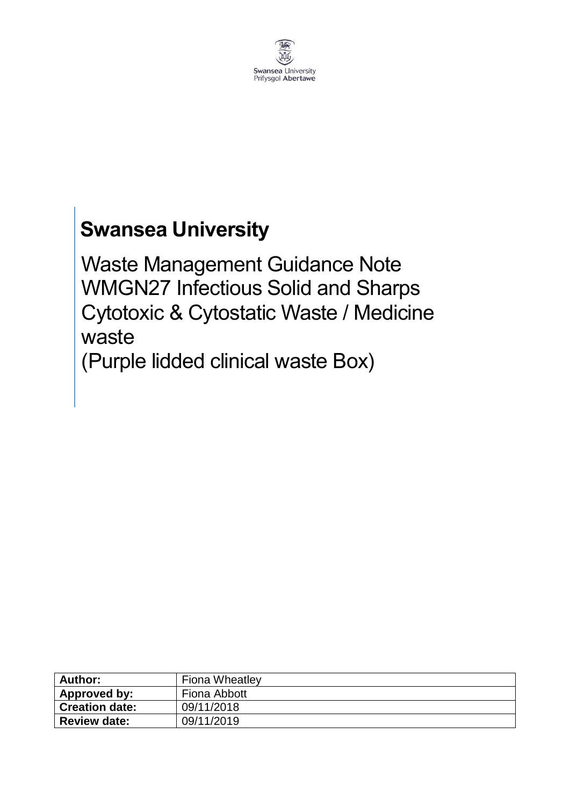

# **Swansea University**

Waste Management Guidance Note WMGN27 Infectious Solid and Sharps Cytotoxic & Cytostatic Waste / Medicine waste (Purple lidded clinical waste Box)

| Author:             | <b>Fiona Wheatley</b> |
|---------------------|-----------------------|
| Approved by:        | Fiona Abbott          |
| Creation date:      | 09/11/2018            |
| <b>Review date:</b> | 09/11/2019            |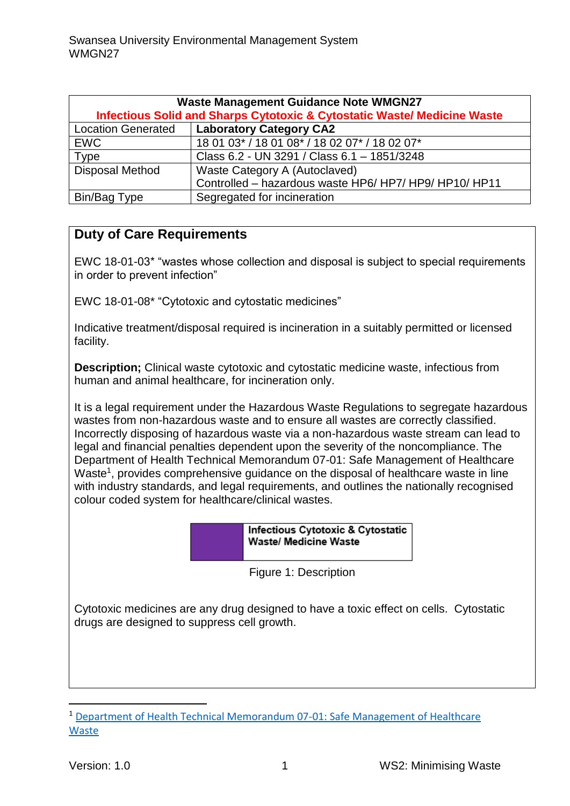| <b>Waste Management Guidance Note WMGN27</b><br><b>Infectious Solid and Sharps Cytotoxic &amp; Cytostatic Waste/ Medicine Waste</b> |                                                        |
|-------------------------------------------------------------------------------------------------------------------------------------|--------------------------------------------------------|
| <b>Laboratory Category CA2</b><br><b>Location Generated</b>                                                                         |                                                        |
|                                                                                                                                     |                                                        |
| <b>EWC</b>                                                                                                                          | 18 01 03* / 18 01 08* / 18 02 07* / 18 02 07*          |
| <b>Type</b>                                                                                                                         | Class 6.2 - UN 3291 / Class 6.1 - 1851/3248            |
| <b>Disposal Method</b>                                                                                                              | Waste Category A (Autoclaved)                          |
|                                                                                                                                     | Controlled - hazardous waste HP6/ HP7/ HP9/ HP10/ HP11 |
| Bin/Bag Type                                                                                                                        | Segregated for incineration                            |

# **Duty of Care Requirements**

EWC 18-01-03\* "wastes whose collection and disposal is subject to special requirements in order to prevent infection"

EWC 18-01-08\* "Cytotoxic and cytostatic medicines"

Indicative treatment/disposal required is incineration in a suitably permitted or licensed facility.

**Description;** Clinical waste cytotoxic and cytostatic medicine waste, infectious from human and animal healthcare, for incineration only.

It is a legal requirement under the Hazardous Waste Regulations to segregate hazardous wastes from non-hazardous waste and to ensure all wastes are correctly classified. Incorrectly disposing of hazardous waste via a non-hazardous waste stream can lead to legal and financial penalties dependent upon the severity of the noncompliance. The Department of Health Technical Memorandum 07-01: Safe Management of Healthcare Waste<sup>1</sup>, provides comprehensive guidance on the disposal of healthcare waste in line with industry standards, and legal requirements, and outlines the nationally recognised colour coded system for healthcare/clinical wastes.

> **Infectious Cytotoxic & Cytostatic Waste/ Medicine Waste**

Figure 1: Description

Cytotoxic medicines are any drug designed to have a toxic effect on cells. Cytostatic drugs are designed to suppress cell growth.

**.** 

<sup>1</sup> [Department of Health Technical Memorandum 07-01: Safe Management of Healthcare](https://www.gov.uk/government/publications/guidance-on-the-safe-management-of-healthcare-waste)  [Waste](https://www.gov.uk/government/publications/guidance-on-the-safe-management-of-healthcare-waste)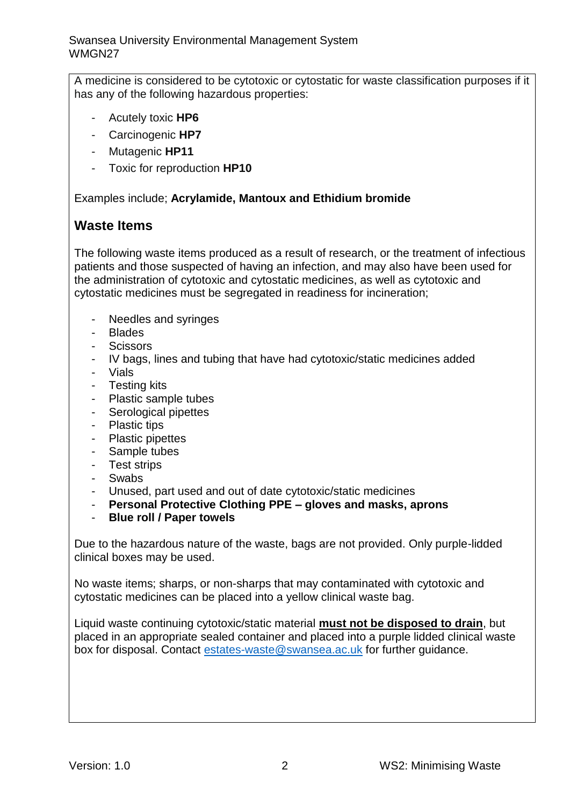A medicine is considered to be cytotoxic or cytostatic for waste classification purposes if it has any of the following hazardous properties:

- Acutely toxic **HP6**
- Carcinogenic **HP7**
- Mutagenic **HP11**
- Toxic for reproduction **HP10**

Examples include; **Acrylamide, Mantoux and Ethidium bromide**

### **Waste Items**

The following waste items produced as a result of research, or the treatment of infectious patients and those suspected of having an infection, and may also have been used for the administration of cytotoxic and cytostatic medicines, as well as cytotoxic and cytostatic medicines must be segregated in readiness for incineration;

- Needles and syringes
- Blades
- Scissors
- IV bags, lines and tubing that have had cytotoxic/static medicines added
- Vials
- Testing kits
- Plastic sample tubes
- Serological pipettes
- Plastic tips
- Plastic pipettes
- Sample tubes
- Test strips
- Swabs
- Unused, part used and out of date cytotoxic/static medicines
- **Personal Protective Clothing PPE – gloves and masks, aprons**
- **Blue roll / Paper towels**

Due to the hazardous nature of the waste, bags are not provided. Only purple-lidded clinical boxes may be used.

No waste items; sharps, or non-sharps that may contaminated with cytotoxic and cytostatic medicines can be placed into a yellow clinical waste bag.

Liquid waste continuing cytotoxic/static material **must not be disposed to drain**, but placed in an appropriate sealed container and placed into a purple lidded clinical waste box for disposal. Contact [estates-waste@swansea.ac.uk](mailto:estates-waste@swansea.ac.uk) for further guidance.